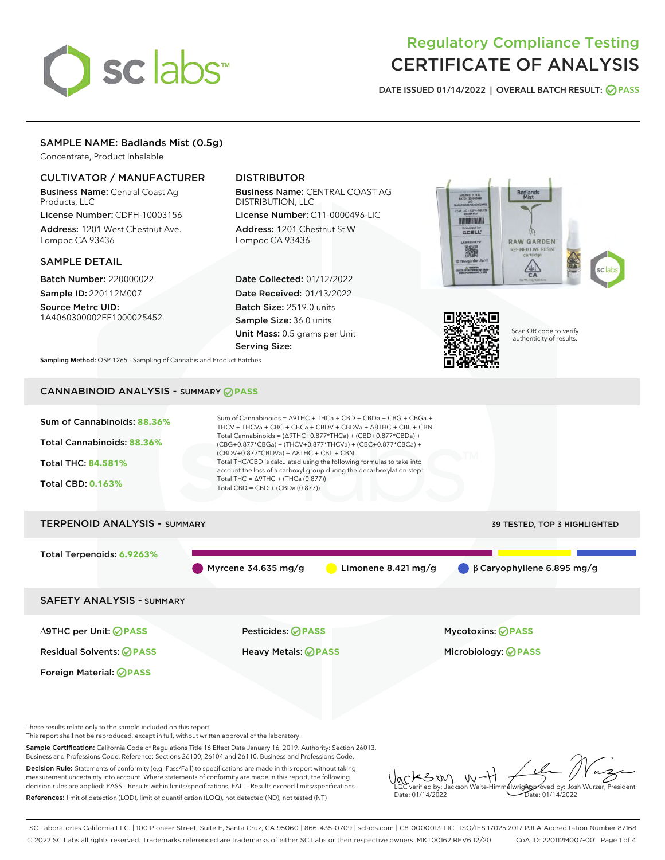# sclabs

# Regulatory Compliance Testing CERTIFICATE OF ANALYSIS

DATE ISSUED 01/14/2022 | OVERALL BATCH RESULT: @ PASS

# SAMPLE NAME: Badlands Mist (0.5g)

Concentrate, Product Inhalable

# CULTIVATOR / MANUFACTURER

Business Name: Central Coast Ag Products, LLC

License Number: CDPH-10003156 Address: 1201 West Chestnut Ave. Lompoc CA 93436

# SAMPLE DETAIL

Batch Number: 220000022 Sample ID: 220112M007

Source Metrc UID: 1A4060300002EE1000025452

# DISTRIBUTOR

Business Name: CENTRAL COAST AG DISTRIBUTION, LLC

License Number: C11-0000496-LIC Address: 1201 Chestnut St W Lompoc CA 93436

Date Collected: 01/12/2022 Date Received: 01/13/2022 Batch Size: 2519.0 units Sample Size: 36.0 units Unit Mass: 0.5 grams per Unit Serving Size:





LQC verified by: Jackson Waite-Himmelwright Date: 01/14/2022

**AlwrigApproved by: Josh Wurzer, President** Date: 01/14/2022

Scan QR code to verify authenticity of results.

Sampling Method: QSP 1265 - Sampling of Cannabis and Product Batches

# CANNABINOID ANALYSIS - SUMMARY **PASS**



measurement uncertainty into account. Where statements of conformity are made in this report, the following decision rules are applied: PASS – Results within limits/specifications, FAIL – Results exceed limits/specifications. References: limit of detection (LOD), limit of quantification (LOQ), not detected (ND), not tested (NT)

SC Laboratories California LLC. | 100 Pioneer Street, Suite E, Santa Cruz, CA 95060 | 866-435-0709 | sclabs.com | C8-0000013-LIC | ISO/IES 17025:2017 PJLA Accreditation Number 87168 © 2022 SC Labs all rights reserved. Trademarks referenced are trademarks of either SC Labs or their respective owners. MKT00162 REV6 12/20 CoA ID: 220112M007-001 Page 1 of 4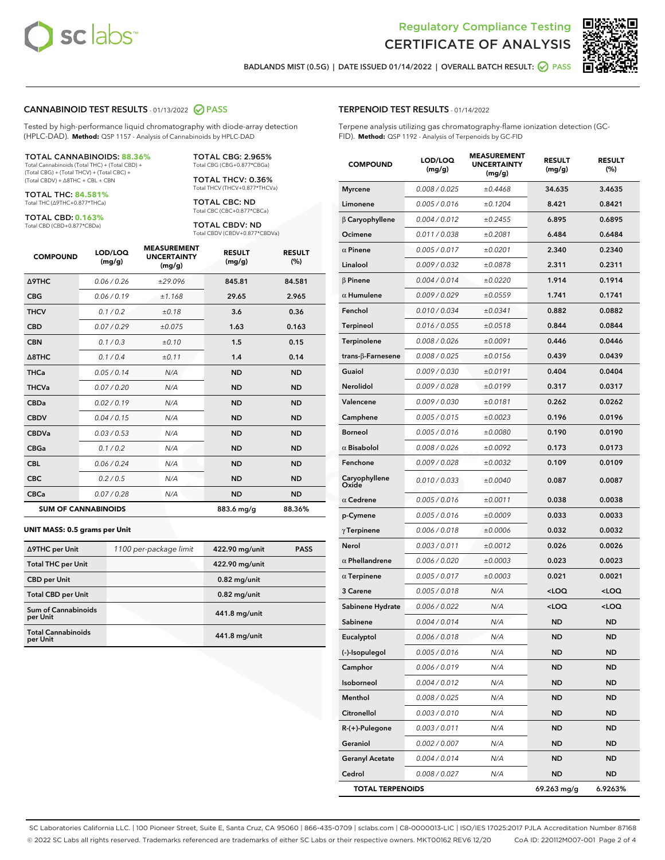

Terpene analysis utilizing gas chromatography-flame ionization detection (GC-



BADLANDS MIST (0.5G) | DATE ISSUED 01/14/2022 | OVERALL BATCH RESULT: 2 PASS

TERPENOID TEST RESULTS - 01/14/2022

FID). **Method:** QSP 1192 - Analysis of Terpenoids by GC-FID

#### CANNABINOID TEST RESULTS - 01/13/2022 2 PASS

Tested by high-performance liquid chromatography with diode-array detection (HPLC-DAD). **Method:** QSP 1157 - Analysis of Cannabinoids by HPLC-DAD

#### TOTAL CANNABINOIDS: **88.36%**

Total Cannabinoids (Total THC) + (Total CBD) + (Total CBG) + (Total THCV) + (Total CBC) + (Total CBDV) + ∆8THC + CBL + CBN

TOTAL THC: **84.581%** Total THC (∆9THC+0.877\*THCa)

TOTAL CBD: **0.163%**

Total CBD (CBD+0.877\*CBDa)

TOTAL CBG: 2.965% Total CBG (CBG+0.877\*CBGa)

TOTAL THCV: 0.36% Total THCV (THCV+0.877\*THCVa)

TOTAL CBC: ND Total CBC (CBC+0.877\*CBCa)

TOTAL CBDV: ND Total CBDV (CBDV+0.877\*CBDVa)

| <b>COMPOUND</b>  | LOD/LOQ<br>(mg/g)          | <b>MEASUREMENT</b><br><b>UNCERTAINTY</b><br>(mg/g) | <b>RESULT</b><br>(mg/g) | <b>RESULT</b><br>(%) |
|------------------|----------------------------|----------------------------------------------------|-------------------------|----------------------|
| <b>A9THC</b>     | 0.06 / 0.26                | ±29.096                                            | 845.81                  | 84.581               |
| <b>CBG</b>       | 0.06 / 0.19                | ±1.168                                             | 29.65                   | 2.965                |
| <b>THCV</b>      | 0.1/0.2                    | ±0.18                                              | 3.6                     | 0.36                 |
| <b>CBD</b>       | 0.07/0.29                  | ±0.075                                             | 1.63                    | 0.163                |
| <b>CBN</b>       | 0.1 / 0.3                  | $\pm 0.10$                                         | 1.5                     | 0.15                 |
| $\triangle$ 8THC | 0.1/0.4                    | ±0.11                                              | 1.4                     | 0.14                 |
| <b>THCa</b>      | 0.05/0.14                  | N/A                                                | <b>ND</b>               | <b>ND</b>            |
| <b>THCVa</b>     | 0.07/0.20                  | N/A                                                | <b>ND</b>               | <b>ND</b>            |
| <b>CBDa</b>      | 0.02/0.19                  | N/A                                                | <b>ND</b>               | <b>ND</b>            |
| <b>CBDV</b>      | 0.04 / 0.15                | N/A                                                | <b>ND</b>               | <b>ND</b>            |
| <b>CBDVa</b>     | 0.03/0.53                  | N/A                                                | <b>ND</b>               | <b>ND</b>            |
| <b>CBGa</b>      | 0.1 / 0.2                  | N/A                                                | <b>ND</b>               | <b>ND</b>            |
| <b>CBL</b>       | 0.06 / 0.24                | N/A                                                | <b>ND</b>               | <b>ND</b>            |
| <b>CBC</b>       | 0.2 / 0.5                  | N/A                                                | <b>ND</b>               | <b>ND</b>            |
| <b>CBCa</b>      | 0.07/0.28                  | N/A                                                | <b>ND</b>               | <b>ND</b>            |
|                  | <b>SUM OF CANNABINOIDS</b> |                                                    | 883.6 mg/g              | 88.36%               |

#### **UNIT MASS: 0.5 grams per Unit**

| ∆9THC per Unit                        | 1100 per-package limit | 422.90 mg/unit | <b>PASS</b> |
|---------------------------------------|------------------------|----------------|-------------|
| <b>Total THC per Unit</b>             |                        | 422.90 mg/unit |             |
| <b>CBD</b> per Unit                   |                        | $0.82$ mg/unit |             |
| <b>Total CBD per Unit</b>             |                        | $0.82$ mg/unit |             |
| Sum of Cannabinoids<br>per Unit       |                        | 441.8 mg/unit  |             |
| <b>Total Cannabinoids</b><br>per Unit |                        | 441.8 mg/unit  |             |

| <b>COMPOUND</b>         | LOD/LOQ<br>(mg/g) | <b>MEASUREMENT</b><br><b>UNCERTAINTY</b><br>(mg/g) | <b>RESULT</b><br>(mg/g)                         | <b>RESULT</b><br>(%) |
|-------------------------|-------------------|----------------------------------------------------|-------------------------------------------------|----------------------|
| <b>Myrcene</b>          | 0.008 / 0.025     | ±0.4468                                            | 34.635                                          | 3.4635               |
| Limonene                | 0.005 / 0.016     | ±0.1204                                            | 8.421                                           | 0.8421               |
| $\beta$ Caryophyllene   | 0.004 / 0.012     | ±0.2455                                            | 6.895                                           | 0.6895               |
| Ocimene                 | 0.011 / 0.038     | ±0.2081                                            | 6.484                                           | 0.6484               |
| $\alpha$ Pinene         | 0.005 / 0.017     | ±0.0201                                            | 2.340                                           | 0.2340               |
| Linalool                | 0.009 / 0.032     | ±0.0878                                            | 2.311                                           | 0.2311               |
| $\beta$ Pinene          | 0.004 / 0.014     | ±0.0220                                            | 1.914                                           | 0.1914               |
| $\alpha$ Humulene       | 0.009 / 0.029     | ±0.0559                                            | 1.741                                           | 0.1741               |
| Fenchol                 | 0.010 / 0.034     | ±0.0341                                            | 0.882                                           | 0.0882               |
| <b>Terpineol</b>        | 0.016 / 0.055     | ±0.0518                                            | 0.844                                           | 0.0844               |
| Terpinolene             | 0.008 / 0.026     | ±0.0091                                            | 0.446                                           | 0.0446               |
| trans-β-Farnesene       | 0.008 / 0.025     | ±0.0156                                            | 0.439                                           | 0.0439               |
| Guaiol                  | 0.009 / 0.030     | ±0.0191                                            | 0.404                                           | 0.0404               |
| <b>Nerolidol</b>        | 0.009 / 0.028     | ±0.0199                                            | 0.317                                           | 0.0317               |
| Valencene               | 0.009 / 0.030     | ±0.0181                                            | 0.262                                           | 0.0262               |
| Camphene                | 0.005 / 0.015     | ±0.0023                                            | 0.196                                           | 0.0196               |
| <b>Borneol</b>          | 0.005 / 0.016     | ±0.0080                                            | 0.190                                           | 0.0190               |
| $\alpha$ Bisabolol      | 0.008 / 0.026     | ±0.0092                                            | 0.173                                           | 0.0173               |
| Fenchone                | 0.009 / 0.028     | ±0.0032                                            | 0.109                                           | 0.0109               |
| Caryophyllene<br>Oxide  | 0.010 / 0.033     | ±0.0040                                            | 0.087                                           | 0.0087               |
| $\alpha$ Cedrene        | 0.005 / 0.016     | ±0.0011                                            | 0.038                                           | 0.0038               |
| p-Cymene                | 0.005 / 0.016     | ±0.0009                                            | 0.033                                           | 0.0033               |
| $\gamma$ Terpinene      | 0.006 / 0.018     | ±0.0006                                            | 0.032                                           | 0.0032               |
| Nerol                   | 0.003 / 0.011     | ±0.0012                                            | 0.026                                           | 0.0026               |
| $\alpha$ Phellandrene   | 0.006 / 0.020     | ±0.0003                                            | 0.023                                           | 0.0023               |
| $\alpha$ Terpinene      | 0.005 / 0.017     | ±0.0003                                            | 0.021                                           | 0.0021               |
| 3 Carene                | 0.005 / 0.018     | N/A                                                | $<$ LOQ                                         | $<$ LOQ              |
| Sabinene Hydrate        | 0.006 / 0.022     | N/A                                                | <loq< th=""><th><loq< th=""></loq<></th></loq<> | <loq< th=""></loq<>  |
| Sabinene                | 0.004 / 0.014     | N/A                                                | ND                                              | ND                   |
| Eucalyptol              | 0.006 / 0.018     | N/A                                                | ND                                              | <b>ND</b>            |
| (-)-Isopulegol          | 0.005 / 0.016     | N/A                                                | ND                                              | ND                   |
| Camphor                 | 0.006 / 0.019     | N/A                                                | ND                                              | ND                   |
| Isoborneol              | 0.004 / 0.012     | N/A                                                | ND                                              | ND                   |
| Menthol                 | 0.008 / 0.025     | N/A                                                | <b>ND</b>                                       | ND                   |
| Citronellol             | 0.003 / 0.010     | N/A                                                | ND                                              | ND                   |
| $R-(+)$ -Pulegone       | 0.003 / 0.011     | N/A                                                | ND                                              | ND                   |
| Geraniol                | 0.002 / 0.007     | N/A                                                | <b>ND</b>                                       | ND                   |
| <b>Geranyl Acetate</b>  | 0.004 / 0.014     | N/A                                                | ND                                              | ND                   |
| Cedrol                  | 0.008 / 0.027     | N/A                                                | <b>ND</b>                                       | ND                   |
| <b>TOTAL TERPENOIDS</b> |                   |                                                    | 69.263 mg/g                                     | 6.9263%              |

SC Laboratories California LLC. | 100 Pioneer Street, Suite E, Santa Cruz, CA 95060 | 866-435-0709 | sclabs.com | C8-0000013-LIC | ISO/IES 17025:2017 PJLA Accreditation Number 87168 © 2022 SC Labs all rights reserved. Trademarks referenced are trademarks of either SC Labs or their respective owners. MKT00162 REV6 12/20 CoA ID: 220112M007-001 Page 2 of 4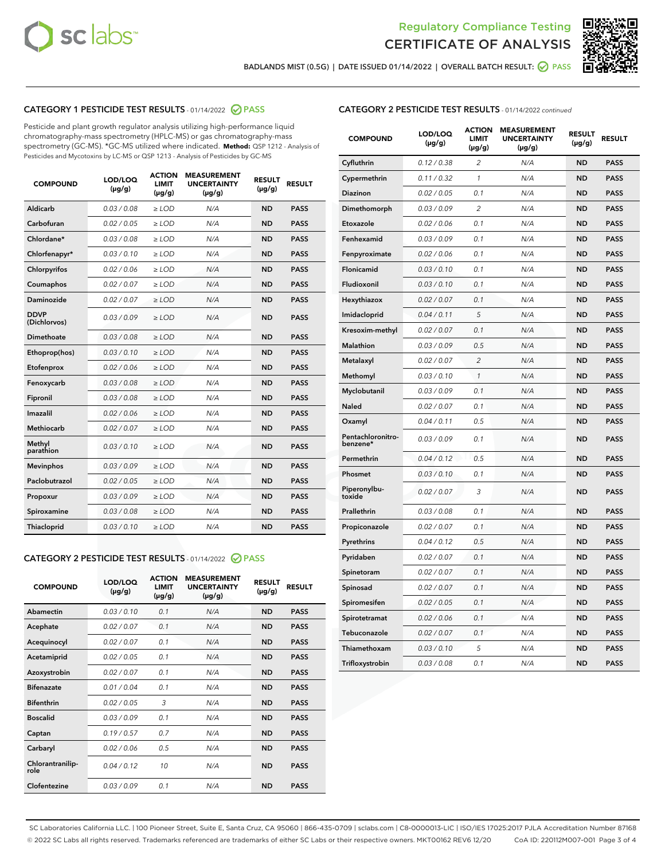



BADLANDS MIST (0.5G) | DATE ISSUED 01/14/2022 | OVERALL BATCH RESULT:  $\bigcirc$  PASS

# CATEGORY 1 PESTICIDE TEST RESULTS - 01/14/2022 2 PASS

Pesticide and plant growth regulator analysis utilizing high-performance liquid chromatography-mass spectrometry (HPLC-MS) or gas chromatography-mass spectrometry (GC-MS). \*GC-MS utilized where indicated. **Method:** QSP 1212 - Analysis of Pesticides and Mycotoxins by LC-MS or QSP 1213 - Analysis of Pesticides by GC-MS

| <b>COMPOUND</b>             | LOD/LOQ<br>$(\mu g/g)$ | <b>ACTION</b><br><b>LIMIT</b><br>$(\mu q/q)$ | <b>MEASUREMENT</b><br><b>UNCERTAINTY</b><br>$(\mu g/g)$ | <b>RESULT</b><br>$(\mu g/g)$ | <b>RESULT</b> |
|-----------------------------|------------------------|----------------------------------------------|---------------------------------------------------------|------------------------------|---------------|
| Aldicarb                    | 0.03/0.08              | $\ge$ LOD                                    | N/A                                                     | <b>ND</b>                    | <b>PASS</b>   |
| Carbofuran                  | 0.02 / 0.05            | $\geq$ LOD                                   | N/A                                                     | <b>ND</b>                    | <b>PASS</b>   |
| Chlordane*                  | 0.03 / 0.08            | $\ge$ LOD                                    | N/A                                                     | <b>ND</b>                    | <b>PASS</b>   |
| Chlorfenapyr*               | 0.03/0.10              | $\geq$ LOD                                   | N/A                                                     | <b>ND</b>                    | <b>PASS</b>   |
| Chlorpyrifos                | 0.02 / 0.06            | $\ge$ LOD                                    | N/A                                                     | <b>ND</b>                    | <b>PASS</b>   |
| Coumaphos                   | 0.02 / 0.07            | $\ge$ LOD                                    | N/A                                                     | <b>ND</b>                    | <b>PASS</b>   |
| Daminozide                  | 0.02 / 0.07            | $\ge$ LOD                                    | N/A                                                     | <b>ND</b>                    | <b>PASS</b>   |
| <b>DDVP</b><br>(Dichlorvos) | 0.03/0.09              | $\ge$ LOD                                    | N/A                                                     | <b>ND</b>                    | <b>PASS</b>   |
| Dimethoate                  | 0.03 / 0.08            | $\ge$ LOD                                    | N/A                                                     | <b>ND</b>                    | <b>PASS</b>   |
| Ethoprop(hos)               | 0.03/0.10              | $\ge$ LOD                                    | N/A                                                     | <b>ND</b>                    | <b>PASS</b>   |
| Etofenprox                  | 0.02/0.06              | $>$ LOD                                      | N/A                                                     | <b>ND</b>                    | <b>PASS</b>   |
| Fenoxycarb                  | 0.03 / 0.08            | $\ge$ LOD                                    | N/A                                                     | <b>ND</b>                    | <b>PASS</b>   |
| Fipronil                    | 0.03/0.08              | $>$ LOD                                      | N/A                                                     | <b>ND</b>                    | <b>PASS</b>   |
| Imazalil                    | 0.02 / 0.06            | $\ge$ LOD                                    | N/A                                                     | <b>ND</b>                    | <b>PASS</b>   |
| Methiocarb                  | 0.02 / 0.07            | $\ge$ LOD                                    | N/A                                                     | <b>ND</b>                    | <b>PASS</b>   |
| Methyl<br>parathion         | 0.03/0.10              | $>$ LOD                                      | N/A                                                     | <b>ND</b>                    | <b>PASS</b>   |
| <b>Mevinphos</b>            | 0.03/0.09              | $>$ LOD                                      | N/A                                                     | <b>ND</b>                    | <b>PASS</b>   |
| Paclobutrazol               | 0.02 / 0.05            | $>$ LOD                                      | N/A                                                     | <b>ND</b>                    | <b>PASS</b>   |
| Propoxur                    | 0.03/0.09              | $\ge$ LOD                                    | N/A                                                     | <b>ND</b>                    | <b>PASS</b>   |
| Spiroxamine                 | 0.03 / 0.08            | $\ge$ LOD                                    | N/A                                                     | <b>ND</b>                    | <b>PASS</b>   |
| Thiacloprid                 | 0.03/0.10              | $\ge$ LOD                                    | N/A                                                     | <b>ND</b>                    | <b>PASS</b>   |

# CATEGORY 2 PESTICIDE TEST RESULTS - 01/14/2022 2 PASS

| <b>COMPOUND</b>          | LOD/LOO<br>$(\mu g/g)$ | <b>ACTION</b><br>LIMIT<br>$(\mu g/g)$ | <b>MEASUREMENT</b><br><b>UNCERTAINTY</b><br>$(\mu g/g)$ | <b>RESULT</b><br>$(\mu g/g)$ | <b>RESULT</b> |  |
|--------------------------|------------------------|---------------------------------------|---------------------------------------------------------|------------------------------|---------------|--|
| Abamectin                | 0.03/0.10              | 0.1                                   | N/A                                                     | <b>ND</b>                    | <b>PASS</b>   |  |
| Acephate                 | 0.02/0.07              | 0.1                                   | N/A                                                     | <b>ND</b>                    | <b>PASS</b>   |  |
| Acequinocyl              | 0.02/0.07              | 0.1                                   | N/A                                                     | <b>ND</b>                    | <b>PASS</b>   |  |
| Acetamiprid              | 0.02 / 0.05            | 0.1                                   | N/A                                                     | <b>ND</b>                    | <b>PASS</b>   |  |
| Azoxystrobin             | 0.02/0.07              | 0.1                                   | N/A                                                     | <b>ND</b>                    | <b>PASS</b>   |  |
| <b>Bifenazate</b>        | 0.01 / 0.04            | 0.1                                   | N/A                                                     | <b>ND</b>                    | <b>PASS</b>   |  |
| <b>Bifenthrin</b>        | 0.02/0.05              | 3                                     | N/A                                                     | <b>ND</b>                    | <b>PASS</b>   |  |
| <b>Boscalid</b>          | 0.03/0.09              | 0.1                                   | N/A                                                     | <b>ND</b>                    | <b>PASS</b>   |  |
| Captan                   | 0.19/0.57              | 0.7                                   | N/A                                                     | <b>ND</b>                    | <b>PASS</b>   |  |
| Carbaryl                 | 0.02/0.06              | 0.5                                   | N/A                                                     | <b>ND</b>                    | <b>PASS</b>   |  |
| Chlorantranilip-<br>role | 0.04/0.12              | 10                                    | N/A                                                     | <b>ND</b>                    | <b>PASS</b>   |  |
| Clofentezine             | 0.03/0.09              | 0.1                                   | N/A                                                     | <b>ND</b>                    | <b>PASS</b>   |  |

# CATEGORY 2 PESTICIDE TEST RESULTS - 01/14/2022 continued

| <b>COMPOUND</b>               | LOD/LOQ<br>(µg/g) | <b>ACTION</b><br><b>LIMIT</b><br>$(\mu g/g)$ | <b>MEASUREMENT</b><br><b>UNCERTAINTY</b><br>$(\mu g/g)$ | <b>RESULT</b><br>(µg/g) | <b>RESULT</b> |
|-------------------------------|-------------------|----------------------------------------------|---------------------------------------------------------|-------------------------|---------------|
| Cyfluthrin                    | 0.12 / 0.38       | $\overline{c}$                               | N/A                                                     | ND                      | <b>PASS</b>   |
| Cypermethrin                  | 0.11 / 0.32       | $\mathcal{I}$                                | N/A                                                     | ND                      | <b>PASS</b>   |
| <b>Diazinon</b>               | 0.02 / 0.05       | 0.1                                          | N/A                                                     | <b>ND</b>               | <b>PASS</b>   |
| Dimethomorph                  | 0.03 / 0.09       | 2                                            | N/A                                                     | ND                      | <b>PASS</b>   |
| Etoxazole                     | 0.02 / 0.06       | 0.1                                          | N/A                                                     | ND                      | <b>PASS</b>   |
| Fenhexamid                    | 0.03 / 0.09       | 0.1                                          | N/A                                                     | ND                      | <b>PASS</b>   |
| Fenpyroximate                 | 0.02 / 0.06       | 0.1                                          | N/A                                                     | <b>ND</b>               | <b>PASS</b>   |
| Flonicamid                    | 0.03 / 0.10       | 0.1                                          | N/A                                                     | ND                      | <b>PASS</b>   |
| Fludioxonil                   | 0.03 / 0.10       | 0.1                                          | N/A                                                     | ND                      | <b>PASS</b>   |
| Hexythiazox                   | 0.02 / 0.07       | 0.1                                          | N/A                                                     | ND                      | <b>PASS</b>   |
| Imidacloprid                  | 0.04 / 0.11       | 5                                            | N/A                                                     | ND                      | <b>PASS</b>   |
| Kresoxim-methyl               | 0.02 / 0.07       | 0.1                                          | N/A                                                     | ND                      | <b>PASS</b>   |
| Malathion                     | 0.03 / 0.09       | 0.5                                          | N/A                                                     | <b>ND</b>               | <b>PASS</b>   |
| Metalaxyl                     | 0.02 / 0.07       | $\overline{c}$                               | N/A                                                     | ND                      | <b>PASS</b>   |
| Methomyl                      | 0.03 / 0.10       | 1                                            | N/A                                                     | ND                      | <b>PASS</b>   |
| Myclobutanil                  | 0.03 / 0.09       | 0.1                                          | N/A                                                     | <b>ND</b>               | <b>PASS</b>   |
| Naled                         | 0.02 / 0.07       | 0.1                                          | N/A                                                     | ND                      | <b>PASS</b>   |
| Oxamyl                        | 0.04 / 0.11       | 0.5                                          | N/A                                                     | ND                      | <b>PASS</b>   |
| Pentachloronitro-<br>benzene* | 0.03 / 0.09       | 0.1                                          | N/A                                                     | ND                      | <b>PASS</b>   |
| Permethrin                    | 0.04 / 0.12       | 0.5                                          | N/A                                                     | ND                      | <b>PASS</b>   |
| Phosmet                       | 0.03 / 0.10       | 0.1                                          | N/A                                                     | ND                      | <b>PASS</b>   |
| Piperonylbu-<br>toxide        | 0.02 / 0.07       | 3                                            | N/A                                                     | ND                      | <b>PASS</b>   |
| Prallethrin                   | 0.03 / 0.08       | 0.1                                          | N/A                                                     | ND                      | <b>PASS</b>   |
| Propiconazole                 | 0.02 / 0.07       | 0.1                                          | N/A                                                     | ND                      | <b>PASS</b>   |
| Pyrethrins                    | 0.04 / 0.12       | 0.5                                          | N/A                                                     | ND                      | <b>PASS</b>   |
| Pyridaben                     | 0.02 / 0.07       | 0.1                                          | N/A                                                     | <b>ND</b>               | <b>PASS</b>   |
| Spinetoram                    | 0.02 / 0.07       | 0.1                                          | N/A                                                     | ND                      | <b>PASS</b>   |
| Spinosad                      | 0.02 / 0.07       | 0.1                                          | N/A                                                     | ND                      | <b>PASS</b>   |
| Spiromesifen                  | 0.02 / 0.05       | 0.1                                          | N/A                                                     | <b>ND</b>               | <b>PASS</b>   |
| Spirotetramat                 | 0.02 / 0.06       | 0.1                                          | N/A                                                     | ND                      | <b>PASS</b>   |
| Tebuconazole                  | 0.02 / 0.07       | 0.1                                          | N/A                                                     | ND                      | <b>PASS</b>   |
| Thiamethoxam                  | 0.03 / 0.10       | 5                                            | N/A                                                     | <b>ND</b>               | <b>PASS</b>   |
| Trifloxystrobin               | 0.03 / 0.08       | 0.1                                          | N/A                                                     | <b>ND</b>               | <b>PASS</b>   |

SC Laboratories California LLC. | 100 Pioneer Street, Suite E, Santa Cruz, CA 95060 | 866-435-0709 | sclabs.com | C8-0000013-LIC | ISO/IES 17025:2017 PJLA Accreditation Number 87168 © 2022 SC Labs all rights reserved. Trademarks referenced are trademarks of either SC Labs or their respective owners. MKT00162 REV6 12/20 CoA ID: 220112M007-001 Page 3 of 4